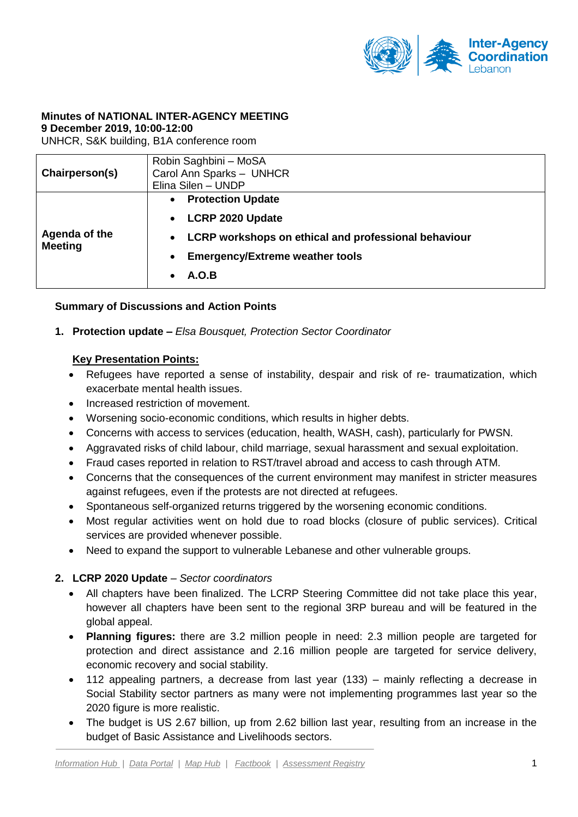

#### **Minutes of NATIONAL INTER-AGENCY MEETING 9 December 2019, 10:00-12:00**

UNHCR, S&K building, B1A conference room

| Chairperson(s)                  | Robin Saghbini - MoSA<br>Carol Ann Sparks - UNHCR<br>Elina Silen - UNDP                                                                                                                         |
|---------------------------------|-------------------------------------------------------------------------------------------------------------------------------------------------------------------------------------------------|
| Agenda of the<br><b>Meeting</b> | <b>Protection Update</b><br>$\bullet$<br><b>LCRP 2020 Update</b><br><b>LCRP workshops on ethical and professional behaviour</b><br>$\bullet$<br><b>Emergency/Extreme weather tools</b><br>A.O.B |

## **Summary of Discussions and Action Points**

**1. Protection update –** *Elsa Bousquet, Protection Sector Coordinator* 

#### **Key Presentation Points:**

- Refugees have reported a sense of instability, despair and risk of re- traumatization, which exacerbate mental health issues.
- Increased restriction of movement.
- Worsening socio-economic conditions, which results in higher debts.
- Concerns with access to services (education, health, WASH, cash), particularly for PWSN.
- Aggravated risks of child labour, child marriage, sexual harassment and sexual exploitation.
- Fraud cases reported in relation to RST/travel abroad and access to cash through ATM.
- Concerns that the consequences of the current environment may manifest in stricter measures against refugees, even if the protests are not directed at refugees.
- Spontaneous self-organized returns triggered by the worsening economic conditions.
- Most regular activities went on hold due to road blocks (closure of public services). Critical services are provided whenever possible.
- Need to expand the support to vulnerable Lebanese and other vulnerable groups.

## **2. LCRP 2020 Update** *– Sector coordinators*

- All chapters have been finalized. The LCRP Steering Committee did not take place this year, however all chapters have been sent to the regional 3RP bureau and will be featured in the global appeal.
- **Planning figures:** there are 3.2 million people in need: 2.3 million people are targeted for protection and direct assistance and 2.16 million people are targeted for service delivery, economic recovery and social stability.
- 112 appealing partners, a decrease from last year (133) mainly reflecting a decrease in Social Stability sector partners as many were not implementing programmes last year so the 2020 figure is more realistic.
- The budget is US 2.67 billion, up from 2.62 billion last year, resulting from an increase in the budget of Basic Assistance and Livelihoods sectors.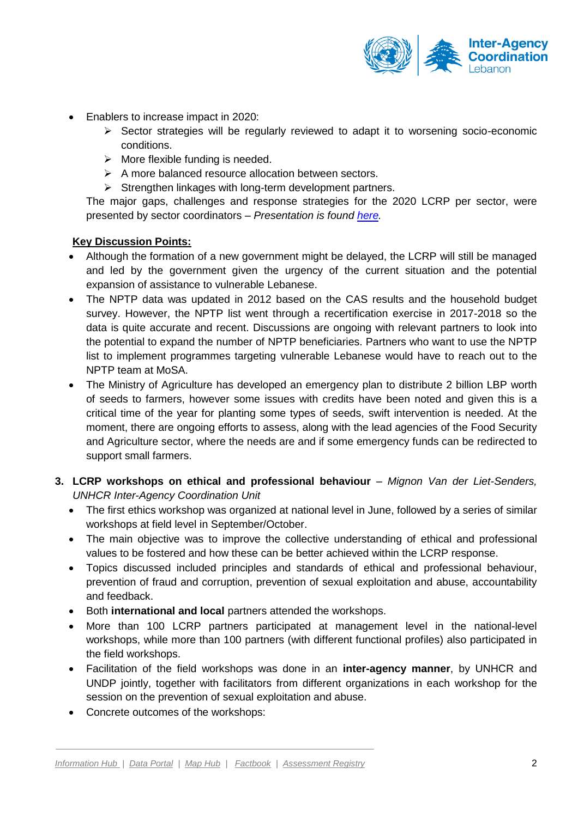

- Enablers to increase impact in 2020:
	- $\triangleright$  Sector strategies will be regularly reviewed to adapt it to worsening socio-economic conditions.
	- $\triangleright$  More flexible funding is needed.
	- $\triangleright$  A more balanced resource allocation between sectors.
	- $\triangleright$  Strengthen linkages with long-term development partners.

The major gaps, challenges and response strategies for the 2020 LCRP per sector, were presented by sector coordinators – *Presentation is found [here.](https://data2.unhcr.org/en/documents/details/72870)*

## **Key Discussion Points:**

- Although the formation of a new government might be delayed, the LCRP will still be managed and led by the government given the urgency of the current situation and the potential expansion of assistance to vulnerable Lebanese.
- The NPTP data was updated in 2012 based on the CAS results and the household budget survey. However, the NPTP list went through a recertification exercise in 2017-2018 so the data is quite accurate and recent. Discussions are ongoing with relevant partners to look into the potential to expand the number of NPTP beneficiaries. Partners who want to use the NPTP list to implement programmes targeting vulnerable Lebanese would have to reach out to the NPTP team at MoSA.
- The Ministry of Agriculture has developed an emergency plan to distribute 2 billion LBP worth of seeds to farmers, however some issues with credits have been noted and given this is a critical time of the year for planting some types of seeds, swift intervention is needed. At the moment, there are ongoing efforts to assess, along with the lead agencies of the Food Security and Agriculture sector, where the needs are and if some emergency funds can be redirected to support small farmers.
- **3. LCRP workshops on ethical and professional behaviour** *– Mignon Van der Liet-Senders, UNHCR Inter-Agency Coordination Unit*
	- The first ethics workshop was organized at national level in June, followed by a series of similar workshops at field level in September/October.
	- The main objective was to improve the collective understanding of ethical and professional values to be fostered and how these can be better achieved within the LCRP response.
	- Topics discussed included principles and standards of ethical and professional behaviour, prevention of fraud and corruption, prevention of sexual exploitation and abuse, accountability and feedback.
	- **Both international and local** partners attended the workshops.
	- More than 100 LCRP partners participated at management level in the national-level workshops, while more than 100 partners (with different functional profiles) also participated in the field workshops.
	- Facilitation of the field workshops was done in an **inter-agency manner**, by UNHCR and UNDP jointly, together with facilitators from different organizations in each workshop for the session on the prevention of sexual exploitation and abuse.
	- Concrete outcomes of the workshops: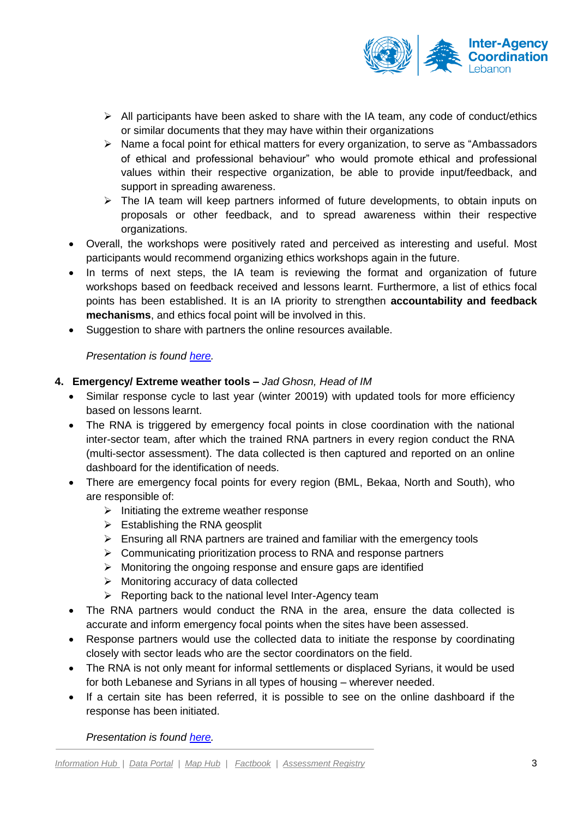

- $\triangleright$  All participants have been asked to share with the IA team, any code of conduct/ethics or similar documents that they may have within their organizations
- $\triangleright$  Name a focal point for ethical matters for every organization, to serve as "Ambassadors" of ethical and professional behaviour" who would promote ethical and professional values within their respective organization, be able to provide input/feedback, and support in spreading awareness.
- $\triangleright$  The IA team will keep partners informed of future developments, to obtain inputs on proposals or other feedback, and to spread awareness within their respective organizations.
- Overall, the workshops were positively rated and perceived as interesting and useful. Most participants would recommend organizing ethics workshops again in the future.
- In terms of next steps, the IA team is reviewing the format and organization of future workshops based on feedback received and lessons learnt. Furthermore, a list of ethics focal points has been established. It is an IA priority to strengthen **accountability and feedback mechanisms**, and ethics focal point will be involved in this.
- Suggestion to share with partners the online resources available.

*Presentation is found [here.](https://data2.unhcr.org/en/documents/details/72871)*

# **4. Emergency/ Extreme weather tools –** *Jad Ghosn, Head of IM*

- Similar response cycle to last year (winter 20019) with updated tools for more efficiency based on lessons learnt.
- The RNA is triggered by emergency focal points in close coordination with the national inter-sector team, after which the trained RNA partners in every region conduct the RNA (multi-sector assessment). The data collected is then captured and reported on an online dashboard for the identification of needs.
- There are emergency focal points for every region (BML, Bekaa, North and South), who are responsible of:
	- $\triangleright$  Initiating the extreme weather response
	- $\triangleright$  Establishing the RNA geosplit
	- $\triangleright$  Ensuring all RNA partners are trained and familiar with the emergency tools
	- $\triangleright$  Communicating prioritization process to RNA and response partners
	- $\triangleright$  Monitoring the ongoing response and ensure gaps are identified
	- $\triangleright$  Monitoring accuracy of data collected
	- $\triangleright$  Reporting back to the national level Inter-Agency team
- The RNA partners would conduct the RNA in the area, ensure the data collected is accurate and inform emergency focal points when the sites have been assessed.
- Response partners would use the collected data to initiate the response by coordinating closely with sector leads who are the sector coordinators on the field.
- The RNA is not only meant for informal settlements or displaced Syrians, it would be used for both Lebanese and Syrians in all types of housing – wherever needed.
- If a certain site has been referred, it is possible to see on the online dashboard if the response has been initiated.

*Presentation is found [here.](https://data2.unhcr.org/en/documents/details/72874)*